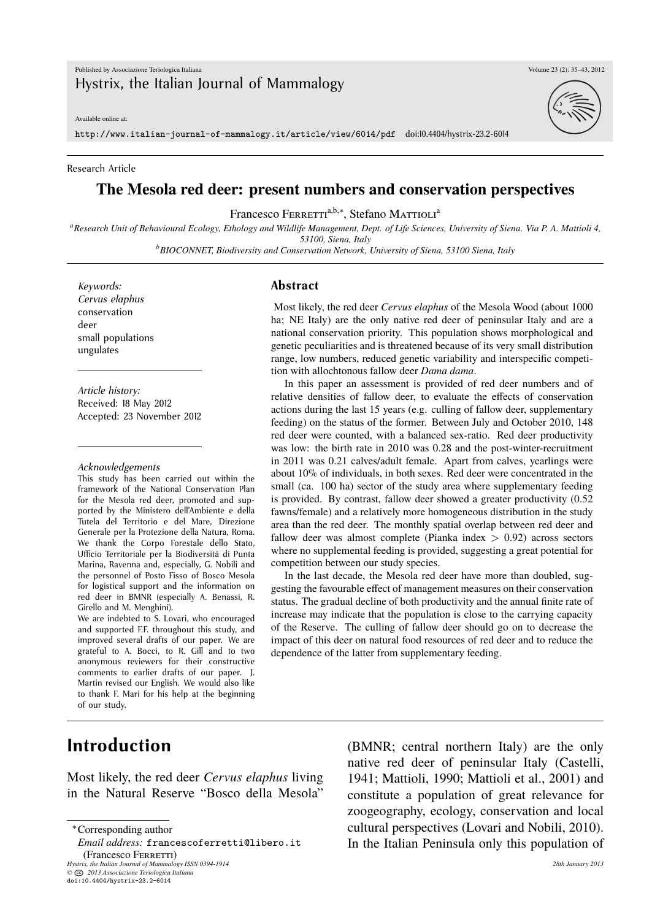Available online at:

http://www.italian-journal-of-mammalogy.it/article/view/6014/pdf doi:10.4404/hystrix-23.2-6014

#### Research Article

#### **The Mesola red deer: present numbers and conservation perspectives**

Francesco Ferretti<sup>a,b,∗</sup>, Stefano Mattioli<sup>a</sup>

*<sup>a</sup>Research Unit of Behavioural Ecology, Ethology and Wildlife Management, Dept. of Life Sciences, University of Siena. Via P. A. Mattioli 4, 53100, Siena, Italy*

*<sup>b</sup>BIOCONNET, Biodiversity and Conservation Network, University of Siena, 53100 Siena, Italy*

*Keywords: Cervus elaphus* conservation deer small populations ungulates

*Article history:* Received: 18 May 2012 Accepted: 23 November 2012

#### *Acknowledgements*

This study has been carried out within the framework of the National Conservation Plan for the Mesola red deer, promoted and supported by the Ministero dell'Ambiente e della Tutela del Territorio e del Mare, Direzione Generale per la Protezione della Natura, Roma. We thank the Corpo Forestale dello Stato, Ufficio Territoriale per la Biodiversità di Punta Marina, Ravenna and, especially, G. Nobili and the personnel of Posto Fisso of Bosco Mesola for logistical support and the information on red deer in BMNR (especially A. Benassi, R. Girello and M. Menghini).

We are indebted to S. Lovari, who encouraged and supported F.F. throughout this study, and improved several drafts of our paper. We are grateful to A. Bocci, to R. Gill and to two anonymous reviewers for their constructive comments to earlier drafts of our paper. J. Martin revised our English. We would also like to thank F. Mari for his help at the beginning of our study.

#### **Abstract**

Most likely, the red deer *Cervus elaphus* of the Mesola Wood (about 1000 ha; NE Italy) are the only native red deer of peninsular Italy and are a national conservation priority. This population shows morphological and genetic peculiarities and is threatened because of its very small distribution range, low numbers, reduced genetic variability and interspecific competition with allochtonous fallow deer *Dama dama*.

In this paper an assessment is provided of red deer numbers and of relative densities of fallow deer, to evaluate the effects of conservation actions during the last 15 years (e.g. culling of fallow deer, supplementary feeding) on the status of the former. Between July and October 2010, 148 red deer were counted, with a balanced sex-ratio. Red deer productivity was low: the birth rate in 2010 was 0.28 and the post-winter-recruitment in 2011 was 0.21 calves/adult female. Apart from calves, yearlings were about 10% of individuals, in both sexes. Red deer were concentrated in the small (ca. 100 ha) sector of the study area where supplementary feeding is provided. By contrast, fallow deer showed a greater productivity (0.52 fawns/female) and a relatively more homogeneous distribution in the study area than the red deer. The monthly spatial overlap between red deer and fallow deer was almost complete (Pianka index *>* 0.92) across sectors where no supplemental feeding is provided, suggesting a great potential for competition between our study species.

In the last decade, the Mesola red deer have more than doubled, suggesting the favourable effect of management measures on their conservation status. The gradual decline of both productivity and the annual finite rate of increase may indicate that the population is close to the carrying capacity of the Reserve. The culling of fallow deer should go on to decrease the impact of this deer on natural food resources of red deer and to reduce the dependence of the latter from supplementary feeding.

## **Introduction**

Most likely, the red deer *Cervus elaphus* living in the Natural Reserve "Bosco della Mesola"

*Hystrix, the Italian Journal of Mammalogy ISSN 0394-1914 28th January 2013 ©* **CC** *2013 Associazione Teriologica Italiana*

(BMNR; central northern Italy) are the only native red deer of peninsular Italy (Castelli, 1941; Mattioli, 1990; Mattioli et al., 2001) and constitute a population of great relevance for zoogeography, ecology, conservation and local cultural perspectives (Lovari and Nobili, 2010). In the Italian Peninsula only this population of



<sup>∗</sup>Corresponding author

*Email address:* francescoferretti@libero.it (Francesco Ferretti)

doi:10.4404/hystrix-23.2-6014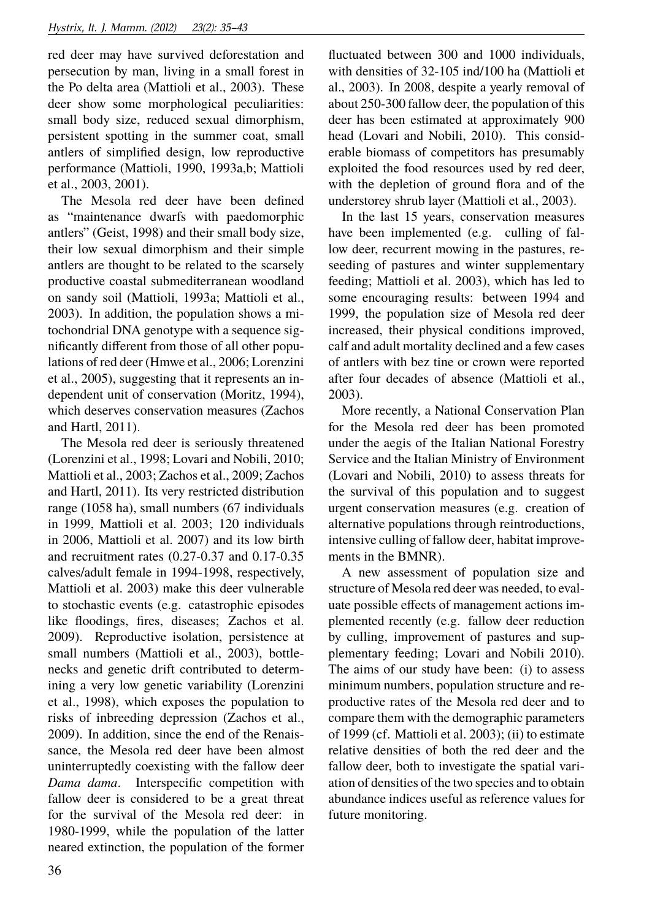red deer may have survived deforestation and persecution by man, living in a small forest in the Po delta area (Mattioli et al., 2003). These deer show some morphological peculiarities: small body size, reduced sexual dimorphism, persistent spotting in the summer coat, small antlers of simplified design, low reproductive performance (Mattioli, 1990, 1993a,b; Mattioli et al., 2003, 2001).

The Mesola red deer have been defined as "maintenance dwarfs with paedomorphic antlers" (Geist, 1998) and their small body size, their low sexual dimorphism and their simple antlers are thought to be related to the scarsely productive coastal submediterranean woodland on sandy soil (Mattioli, 1993a; Mattioli et al., 2003). In addition, the population shows a mitochondrial DNA genotype with a sequence significantly different from those of all other populations of red deer (Hmwe et al., 2006; Lorenzini et al., 2005), suggesting that it represents an independent unit of conservation (Moritz, 1994), which deserves conservation measures (Zachos and Hartl, 2011).

The Mesola red deer is seriously threatened (Lorenzini et al., 1998; Lovari and Nobili, 2010; Mattioli et al., 2003; Zachos et al., 2009; Zachos and Hartl, 2011). Its very restricted distribution range (1058 ha), small numbers (67 individuals in 1999, Mattioli et al. 2003; 120 individuals in 2006, Mattioli et al. 2007) and its low birth and recruitment rates (0.27-0.37 and 0.17-0.35 calves/adult female in 1994-1998, respectively, Mattioli et al. 2003) make this deer vulnerable to stochastic events (e.g. catastrophic episodes like floodings, fires, diseases; Zachos et al. 2009). Reproductive isolation, persistence at small numbers (Mattioli et al., 2003), bottlenecks and genetic drift contributed to determining a very low genetic variability (Lorenzini et al., 1998), which exposes the population to risks of inbreeding depression (Zachos et al., 2009). In addition, since the end of the Renaissance, the Mesola red deer have been almost uninterruptedly coexisting with the fallow deer *Dama dama*. Interspecific competition with fallow deer is considered to be a great threat for the survival of the Mesola red deer: in 1980-1999, while the population of the latter neared extinction, the population of the former fluctuated between 300 and 1000 individuals, with densities of 32-105 ind/100 ha (Mattioli et al., 2003). In 2008, despite a yearly removal of about 250-300 fallow deer, the population of this deer has been estimated at approximately 900 head (Lovari and Nobili, 2010). This considerable biomass of competitors has presumably exploited the food resources used by red deer, with the depletion of ground flora and of the understorey shrub layer (Mattioli et al., 2003).

In the last 15 years, conservation measures have been implemented (e.g. culling of fallow deer, recurrent mowing in the pastures, reseeding of pastures and winter supplementary feeding; Mattioli et al. 2003), which has led to some encouraging results: between 1994 and 1999, the population size of Mesola red deer increased, their physical conditions improved, calf and adult mortality declined and a few cases of antlers with bez tine or crown were reported after four decades of absence (Mattioli et al., 2003).

More recently, a National Conservation Plan for the Mesola red deer has been promoted under the aegis of the Italian National Forestry Service and the Italian Ministry of Environment (Lovari and Nobili, 2010) to assess threats for the survival of this population and to suggest urgent conservation measures (e.g. creation of alternative populations through reintroductions, intensive culling of fallow deer, habitat improvements in the BMNR).

A new assessment of population size and structure of Mesola red deer was needed, to evaluate possible effects of management actions implemented recently (e.g. fallow deer reduction by culling, improvement of pastures and supplementary feeding; Lovari and Nobili 2010). The aims of our study have been: (i) to assess minimum numbers, population structure and reproductive rates of the Mesola red deer and to compare them with the demographic parameters of 1999 (cf. Mattioli et al. 2003); (ii) to estimate relative densities of both the red deer and the fallow deer, both to investigate the spatial variation of densities of the two species and to obtain abundance indices useful as reference values for future monitoring.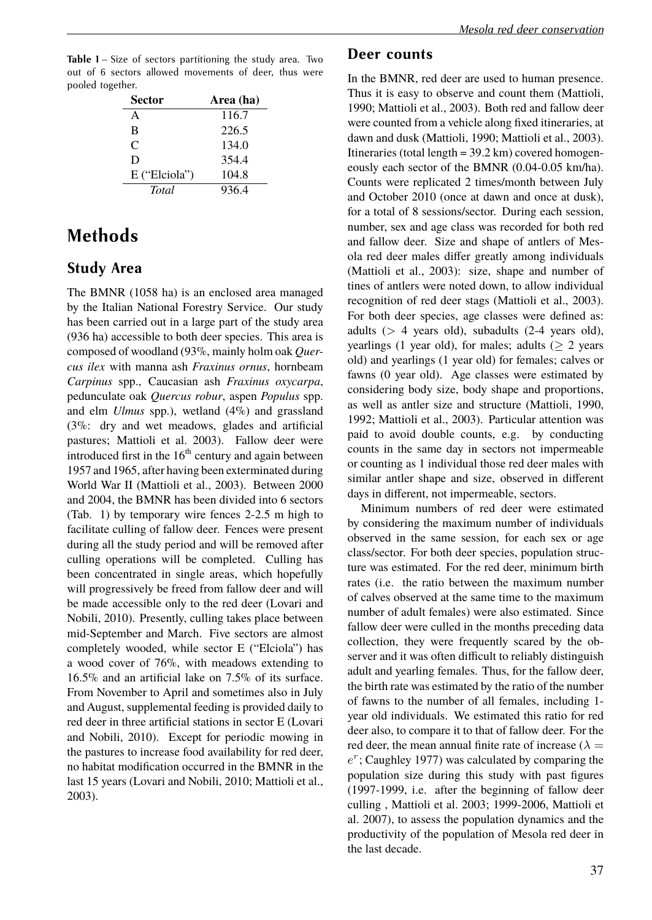Table 1 – Size of sectors partitioning the study area. Two out of 6 sectors allowed movements of deer, thus were pooled together.

| <b>Sector</b> | Area (ha) |
|---------------|-----------|
| A             | 116.7     |
| B             | 226.5     |
| $\mathcal{C}$ | 134.0     |
| D             | 354.4     |
| E ("Elciola") | 104.8     |
| <b>T</b> otal | 936.4     |

# **Methods**

### **Study Area**

The BMNR (1058 ha) is an enclosed area managed by the Italian National Forestry Service. Our study has been carried out in a large part of the study area (936 ha) accessible to both deer species. This area is composed of woodland (93%, mainly holm oak *Quercus ilex* with manna ash *Fraxinus ornus*, hornbeam *Carpinus* spp., Caucasian ash *Fraxinus oxycarpa*, pedunculate oak *Quercus robur*, aspen *Populus* spp. and elm *Ulmus* spp.), wetland (4%) and grassland (3%: dry and wet meadows, glades and artificial pastures; Mattioli et al. 2003). Fallow deer were introduced first in the  $16<sup>th</sup>$  century and again between 1957 and 1965, after having been exterminated during World War II (Mattioli et al., 2003). Between 2000 and 2004, the BMNR has been divided into 6 sectors (Tab. 1) by temporary wire fences 2-2.5 m high to facilitate culling of fallow deer. Fences were present during all the study period and will be removed after culling operations will be completed. Culling has been concentrated in single areas, which hopefully will progressively be freed from fallow deer and will be made accessible only to the red deer (Lovari and Nobili, 2010). Presently, culling takes place between mid-September and March. Five sectors are almost completely wooded, while sector E ("Elciola") has a wood cover of 76%, with meadows extending to 16.5% and an artificial lake on 7.5% of its surface. From November to April and sometimes also in July and August, supplemental feeding is provided daily to red deer in three artificial stations in sector E (Lovari and Nobili, 2010). Except for periodic mowing in the pastures to increase food availability for red deer, no habitat modification occurred in the BMNR in the last 15 years (Lovari and Nobili, 2010; Mattioli et al., 2003).

#### **Deer counts**

In the BMNR, red deer are used to human presence. Thus it is easy to observe and count them (Mattioli, 1990; Mattioli et al., 2003). Both red and fallow deer were counted from a vehicle along fixed itineraries, at dawn and dusk (Mattioli, 1990; Mattioli et al., 2003). Itineraries (total length  $= 39.2 \text{ km}$ ) covered homogeneously each sector of the BMNR (0.04-0.05 km/ha). Counts were replicated 2 times/month between July and October 2010 (once at dawn and once at dusk), for a total of 8 sessions/sector. During each session, number, sex and age class was recorded for both red and fallow deer. Size and shape of antlers of Mesola red deer males differ greatly among individuals (Mattioli et al., 2003): size, shape and number of tines of antlers were noted down, to allow individual recognition of red deer stags (Mattioli et al., 2003). For both deer species, age classes were defined as: adults (*>* 4 years old), subadults (2-4 years old), yearlings (1 year old), for males; adults  $(2 \times 2)$  years old) and yearlings (1 year old) for females; calves or fawns (0 year old). Age classes were estimated by considering body size, body shape and proportions, as well as antler size and structure (Mattioli, 1990, 1992; Mattioli et al., 2003). Particular attention was paid to avoid double counts, e.g. by conducting counts in the same day in sectors not impermeable or counting as 1 individual those red deer males with similar antler shape and size, observed in different days in different, not impermeable, sectors.

Minimum numbers of red deer were estimated by considering the maximum number of individuals observed in the same session, for each sex or age class/sector. For both deer species, population structure was estimated. For the red deer, minimum birth rates (i.e. the ratio between the maximum number of calves observed at the same time to the maximum number of adult females) were also estimated. Since fallow deer were culled in the months preceding data collection, they were frequently scared by the observer and it was often difficult to reliably distinguish adult and yearling females. Thus, for the fallow deer, the birth rate was estimated by the ratio of the number of fawns to the number of all females, including 1 year old individuals. We estimated this ratio for red deer also, to compare it to that of fallow deer. For the red deer, the mean annual finite rate of increase ( $\lambda =$ *e r* ; Caughley 1977) was calculated by comparing the population size during this study with past figures (1997-1999, i.e. after the beginning of fallow deer culling , Mattioli et al. 2003; 1999-2006, Mattioli et al. 2007), to assess the population dynamics and the productivity of the population of Mesola red deer in the last decade.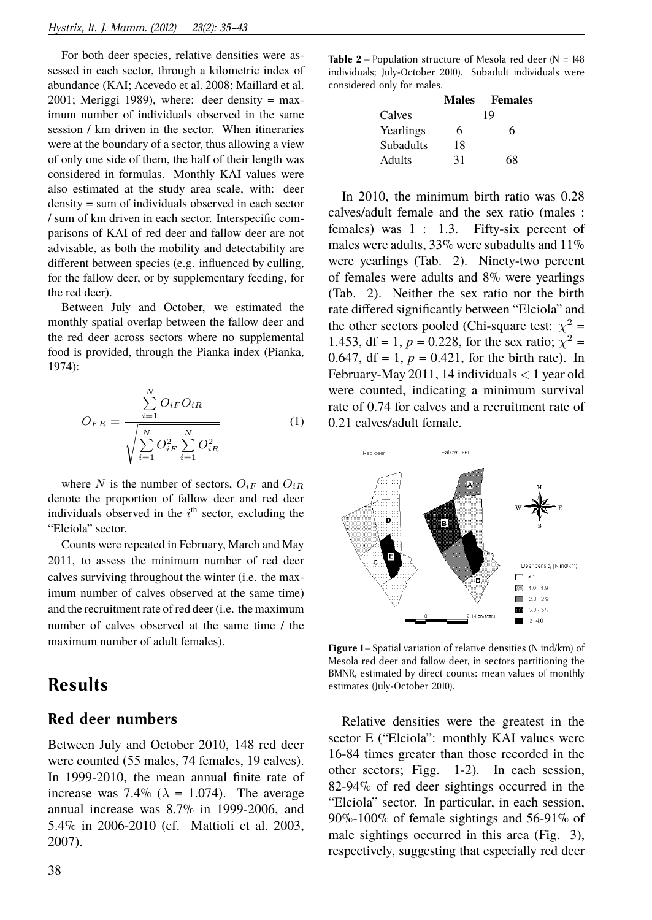For both deer species, relative densities were assessed in each sector, through a kilometric index of abundance (KAI; Acevedo et al. 2008; Maillard et al.  $2001$ ; Meriggi 1989), where: deer density = maximum number of individuals observed in the same session / km driven in the sector. When itineraries were at the boundary of a sector, thus allowing a view of only one side of them, the half of their length was considered in formulas. Monthly KAI values were also estimated at the study area scale, with: deer density = sum of individuals observed in each sector / sum of km driven in each sector. Interspecific comparisons of KAI of red deer and fallow deer are not advisable, as both the mobility and detectability are different between species (e.g. influenced by culling, for the fallow deer, or by supplementary feeding, for the red deer).

Between July and October, we estimated the monthly spatial overlap between the fallow deer and the red deer across sectors where no supplemental food is provided, through the Pianka index (Pianka, 1974):

$$
O_{FR} = \frac{\sum_{i=1}^{N} O_{iF} O_{iR}}{\sqrt{\sum_{i=1}^{N} O_{iF}^{2} \sum_{i=1}^{N} O_{iR}^{2}}}
$$
 (1)

where *N* is the number of sectors,  $O_{iF}$  and  $O_{iR}$ denote the proportion of fallow deer and red deer individuals observed in the  $i<sup>th</sup>$  sector, excluding the "Elciola" sector.

Counts were repeated in February, March and May 2011, to assess the minimum number of red deer calves surviving throughout the winter (i.e. the maximum number of calves observed at the same time) and the recruitment rate of red deer (i.e. the maximum number of calves observed at the same time / the maximum number of adult females).

## **Results**

#### **Red deer numbers**

Between July and October 2010, 148 red deer were counted (55 males, 74 females, 19 calves). In 1999-2010, the mean annual finite rate of increase was 7.4% ( $\lambda = 1.074$ ). The average annual increase was 8.7% in 1999-2006, and 5.4% in 2006-2010 (cf. Mattioli et al. 2003, 2007).

|                  | <b>Males</b> | <b>Females</b> |
|------------------|--------------|----------------|
| Calves           |              | 19             |
| Yearlings        | 6            | 6              |
| <b>Subadults</b> | 18           |                |
| <b>Adults</b>    | 31           | 68             |

In 2010, the minimum birth ratio was 0.28 calves/adult female and the sex ratio (males : females) was 1 : 1.3. Fifty-six percent of males were adults,  $33\%$  were subadults and  $11\%$ were yearlings (Tab. 2). Ninety-two percent of females were adults and 8% were yearlings (Tab. 2). Neither the sex ratio nor the birth rate differed significantly between "Elciola" and the other sectors pooled (Chi-square test:  $\chi^2$  = 1.453, df = 1,  $p = 0.228$ , for the sex ratio;  $\chi^2$  = 0.647, df = 1,  $p = 0.421$ , for the birth rate). In February-May 2011, 14 individuals *<* 1 year old were counted, indicating a minimum survival rate of 0.74 for calves and a recruitment rate of 0.21 calves/adult female.



**Figure 1** – Spatial variation of relative densities (N ind/km) of Mesola red deer and fallow deer, in sectors partitioning the BMNR, estimated by direct counts: mean values of monthly estimates (July-October 2010).

Relative densities were the greatest in the sector E ("Elciola": monthly KAI values were 16-84 times greater than those recorded in the other sectors; Figg. 1-2). In each session, 82-94% of red deer sightings occurred in the "Elciola" sector. In particular, in each session, 90%-100% of female sightings and 56-91% of male sightings occurred in this area (Fig. 3), respectively, suggesting that especially red deer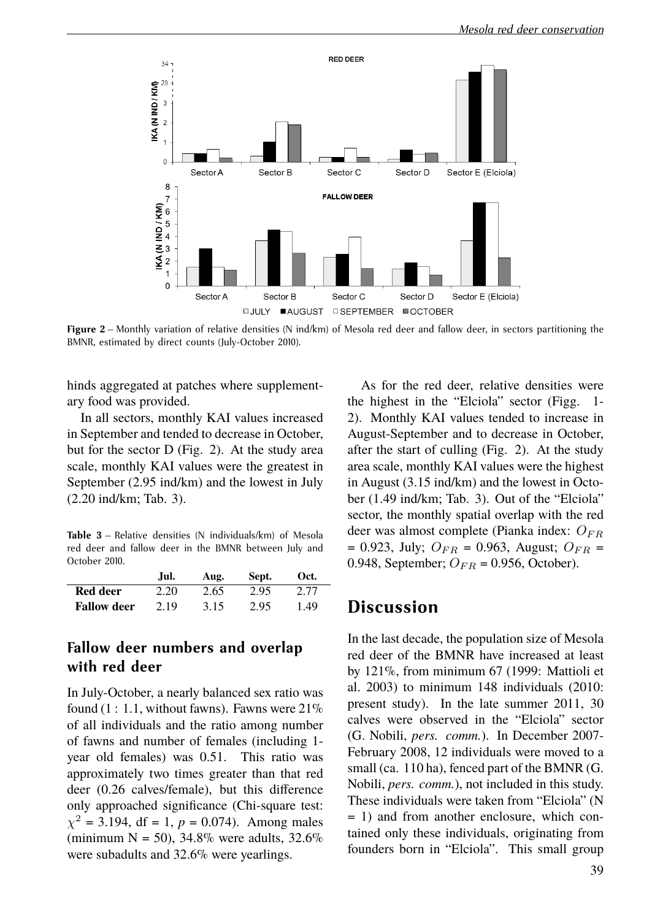

**Figure 2** – Monthly variation of relative densities (N ind/km) of Mesola red deer and fallow deer, in sectors partitioning the BMNR, estimated by direct counts (July-October 2010).

hinds aggregated at patches where supplementary food was provided.

In all sectors, monthly KAI values increased in September and tended to decrease in October, but for the sector D (Fig. 2). At the study area scale, monthly KAI values were the greatest in September (2.95 ind/km) and the lowest in July (2.20 ind/km; Tab. 3).

**Table 3** – Relative densities (N individuals/km) of Mesola red deer and fallow deer in the BMNR between July and October 2010.

|                    | Jul. | Aug. | Sept. | Oct. |
|--------------------|------|------|-------|------|
| Red deer           | 2.20 | 2.65 | 2.95  | 2.77 |
| <b>Fallow deer</b> | 2.19 | 3.15 | 2.95  | 1.49 |

#### **Fallow deer numbers and overlap with red deer**

In July-October, a nearly balanced sex ratio was found  $(1: 1.1$ , without fawns). Fawns were  $21\%$ of all individuals and the ratio among number of fawns and number of females (including 1 year old females) was 0.51. This ratio was approximately two times greater than that red deer (0.26 calves/female), but this difference only approached significance (Chi-square test:  $\chi^2 = 3.194$ , df = 1, *p* = 0.074). Among males (minimum  $N = 50$ ), 34.8% were adults, 32.6% were subadults and 32.6% were yearlings.

As for the red deer, relative densities were the highest in the "Elciola" sector (Figg. 1- 2). Monthly KAI values tended to increase in August-September and to decrease in October, after the start of culling (Fig. 2). At the study area scale, monthly KAI values were the highest in August (3.15 ind/km) and the lowest in October (1.49 ind/km; Tab. 3). Out of the "Elciola" sector, the monthly spatial overlap with the red deer was almost complete (Pianka index: *OF R*  $= 0.923$ , July;  $O_{FR} = 0.963$ , August;  $O_{FR} =$ 0.948, September;  $O_{FR} = 0.956$ , October).

### **Discussion**

In the last decade, the population size of Mesola red deer of the BMNR have increased at least by 121%, from minimum 67 (1999: Mattioli et al. 2003) to minimum 148 individuals (2010: present study). In the late summer 2011, 30 calves were observed in the "Elciola" sector (G. Nobili, *pers. comm.*). In December 2007- February 2008, 12 individuals were moved to a small (ca. 110 ha), fenced part of the BMNR (G. Nobili, *pers. comm.*), not included in this study. These individuals were taken from "Elciola" (N = 1) and from another enclosure, which contained only these individuals, originating from founders born in "Elciola". This small group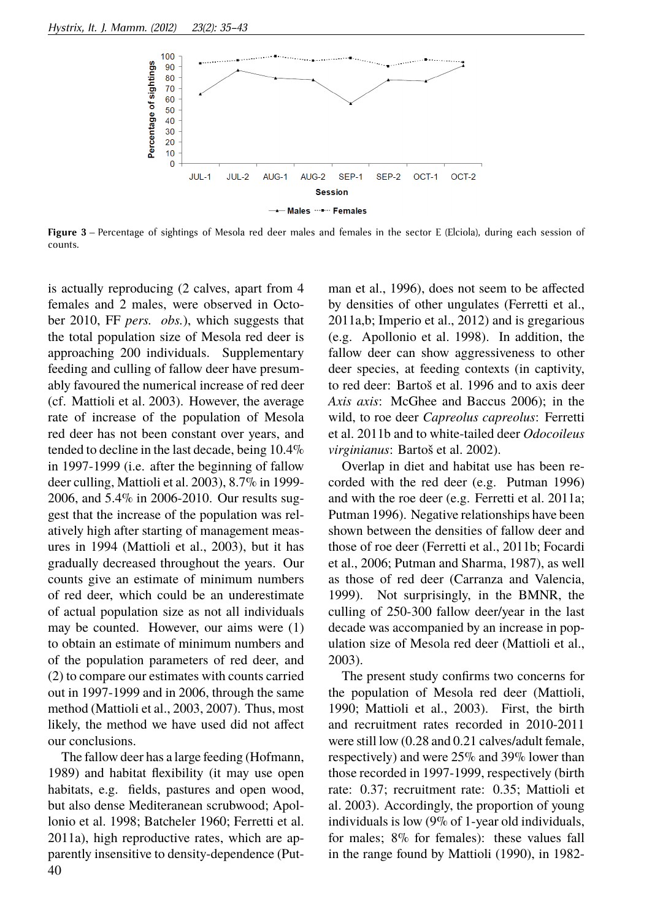

**Figure 3** – Percentage of sightings of Mesola red deer males and females in the sector E (Elciola), during each session of counts.

is actually reproducing (2 calves, apart from 4 females and 2 males, were observed in October 2010, FF *pers. obs.*), which suggests that the total population size of Mesola red deer is approaching 200 individuals. Supplementary feeding and culling of fallow deer have presumably favoured the numerical increase of red deer (cf. Mattioli et al. 2003). However, the average rate of increase of the population of Mesola red deer has not been constant over years, and tended to decline in the last decade, being 10.4% in 1997-1999 (i.e. after the beginning of fallow deer culling, Mattioli et al. 2003), 8.7% in 1999- 2006, and 5.4% in 2006-2010. Our results suggest that the increase of the population was relatively high after starting of management measures in 1994 (Mattioli et al., 2003), but it has gradually decreased throughout the years. Our counts give an estimate of minimum numbers of red deer, which could be an underestimate of actual population size as not all individuals may be counted. However, our aims were (1) to obtain an estimate of minimum numbers and of the population parameters of red deer, and (2) to compare our estimates with counts carried out in 1997-1999 and in 2006, through the same method (Mattioli et al., 2003, 2007). Thus, most likely, the method we have used did not affect our conclusions.

The fallow deer has a large feeding (Hofmann, 1989) and habitat flexibility (it may use open habitats, e.g. fields, pastures and open wood, but also dense Mediteranean scrubwood; Apollonio et al. 1998; Batcheler 1960; Ferretti et al. 2011a), high reproductive rates, which are apparently insensitive to density-dependence (Put-40

man et al., 1996), does not seem to be affected by densities of other ungulates (Ferretti et al., 2011a,b; Imperio et al., 2012) and is gregarious (e.g. Apollonio et al. 1998). In addition, the fallow deer can show aggressiveness to other deer species, at feeding contexts (in captivity, to red deer: Bartoš et al. 1996 and to axis deer *Axis axis*: McGhee and Baccus 2006); in the wild, to roe deer *Capreolus capreolus*: Ferretti et al. 2011b and to white-tailed deer *Odocoileus virginianus*: Bartoš et al. 2002).

Overlap in diet and habitat use has been recorded with the red deer (e.g. Putman 1996) and with the roe deer (e.g. Ferretti et al. 2011a; Putman 1996). Negative relationships have been shown between the densities of fallow deer and those of roe deer (Ferretti et al., 2011b; Focardi et al., 2006; Putman and Sharma, 1987), as well as those of red deer (Carranza and Valencia, 1999). Not surprisingly, in the BMNR, the culling of 250-300 fallow deer/year in the last decade was accompanied by an increase in population size of Mesola red deer (Mattioli et al., 2003).

The present study confirms two concerns for the population of Mesola red deer (Mattioli, 1990; Mattioli et al., 2003). First, the birth and recruitment rates recorded in 2010-2011 were still low (0.28 and 0.21 calves/adult female, respectively) and were 25% and 39% lower than those recorded in 1997-1999, respectively (birth rate: 0.37; recruitment rate: 0.35; Mattioli et al. 2003). Accordingly, the proportion of young individuals is low (9% of 1-year old individuals, for males; 8% for females): these values fall in the range found by Mattioli (1990), in 1982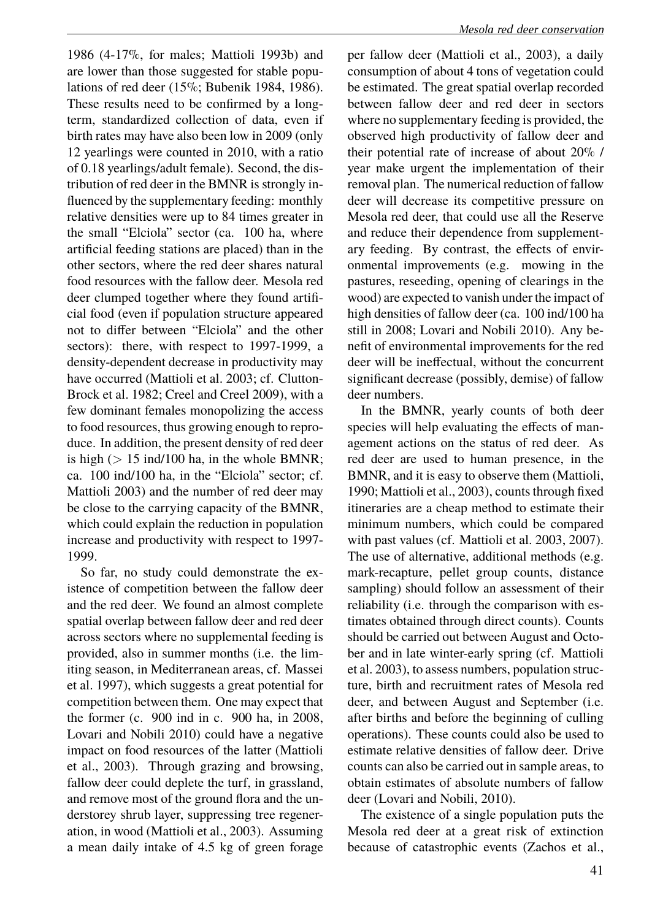1986 (4-17%, for males; Mattioli 1993b) and are lower than those suggested for stable populations of red deer (15%; Bubenik 1984, 1986). These results need to be confirmed by a longterm, standardized collection of data, even if birth rates may have also been low in 2009 (only 12 yearlings were counted in 2010, with a ratio of 0.18 yearlings/adult female). Second, the distribution of red deer in the BMNR is strongly influenced by the supplementary feeding: monthly relative densities were up to 84 times greater in the small "Elciola" sector (ca. 100 ha, where artificial feeding stations are placed) than in the other sectors, where the red deer shares natural food resources with the fallow deer. Mesola red deer clumped together where they found artificial food (even if population structure appeared not to differ between "Elciola" and the other sectors): there, with respect to 1997-1999, a density-dependent decrease in productivity may have occurred (Mattioli et al. 2003; cf. Clutton-Brock et al. 1982; Creel and Creel 2009), with a few dominant females monopolizing the access to food resources, thus growing enough to reproduce. In addition, the present density of red deer is high  $(> 15 \text{ ind}/100 \text{ ha})$ , in the whole BMNR; ca. 100 ind/100 ha, in the "Elciola" sector; cf. Mattioli 2003) and the number of red deer may be close to the carrying capacity of the BMNR, which could explain the reduction in population increase and productivity with respect to 1997- 1999.

So far, no study could demonstrate the existence of competition between the fallow deer and the red deer. We found an almost complete spatial overlap between fallow deer and red deer across sectors where no supplemental feeding is provided, also in summer months (i.e. the limiting season, in Mediterranean areas, cf. Massei et al. 1997), which suggests a great potential for competition between them. One may expect that the former (c. 900 ind in c. 900 ha, in 2008, Lovari and Nobili 2010) could have a negative impact on food resources of the latter (Mattioli et al., 2003). Through grazing and browsing, fallow deer could deplete the turf, in grassland, and remove most of the ground flora and the understorey shrub layer, suppressing tree regeneration, in wood (Mattioli et al., 2003). Assuming a mean daily intake of 4.5 kg of green forage

per fallow deer (Mattioli et al., 2003), a daily consumption of about 4 tons of vegetation could be estimated. The great spatial overlap recorded between fallow deer and red deer in sectors where no supplementary feeding is provided, the observed high productivity of fallow deer and their potential rate of increase of about 20% / year make urgent the implementation of their removal plan. The numerical reduction of fallow deer will decrease its competitive pressure on Mesola red deer, that could use all the Reserve and reduce their dependence from supplementary feeding. By contrast, the effects of environmental improvements (e.g. mowing in the pastures, reseeding, opening of clearings in the wood) are expected to vanish under the impact of high densities of fallow deer (ca. 100 ind/100 ha still in 2008; Lovari and Nobili 2010). Any benefit of environmental improvements for the red deer will be ineffectual, without the concurrent significant decrease (possibly, demise) of fallow deer numbers.

In the BMNR, yearly counts of both deer species will help evaluating the effects of management actions on the status of red deer. As red deer are used to human presence, in the BMNR, and it is easy to observe them (Mattioli, 1990; Mattioli et al., 2003), counts through fixed itineraries are a cheap method to estimate their minimum numbers, which could be compared with past values (cf. Mattioli et al. 2003, 2007). The use of alternative, additional methods (e.g. mark-recapture, pellet group counts, distance sampling) should follow an assessment of their reliability (i.e. through the comparison with estimates obtained through direct counts). Counts should be carried out between August and October and in late winter-early spring (cf. Mattioli et al. 2003), to assess numbers, population structure, birth and recruitment rates of Mesola red deer, and between August and September (i.e. after births and before the beginning of culling operations). These counts could also be used to estimate relative densities of fallow deer. Drive counts can also be carried out in sample areas, to obtain estimates of absolute numbers of fallow deer (Lovari and Nobili, 2010).

The existence of a single population puts the Mesola red deer at a great risk of extinction because of catastrophic events (Zachos et al.,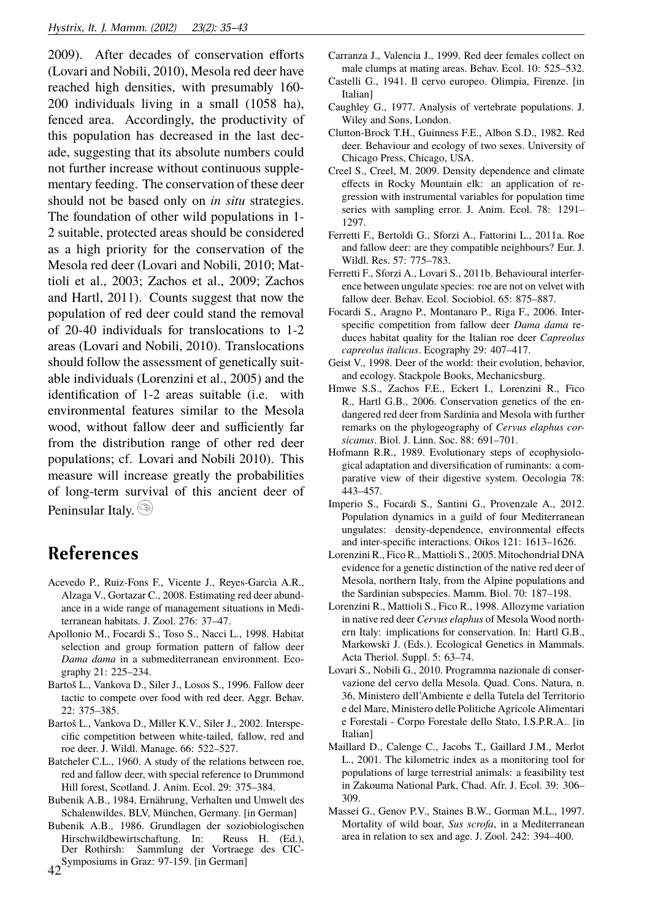2009). After decades of conservation efforts (Lovari and Nobili, 2010), Mesola red deer have reached high densities, with presumably 160- 200 individuals living in a small (1058 ha), fenced area. Accordingly, the productivity of this population has decreased in the last decade, suggesting that its absolute numbers could not further increase without continuous supplementary feeding. The conservation of these deer should not be based only on *in situ* strategies. The foundation of other wild populations in 1- 2 suitable, protected areas should be considered as a high priority for the conservation of the Mesola red deer (Lovari and Nobili, 2010; Mattioli et al., 2003; Zachos et al., 2009; Zachos and Hartl, 2011). Counts suggest that now the population of red deer could stand the removal of 20-40 individuals for translocations to 1-2 areas (Lovari and Nobili, 2010). Translocations should follow the assessment of genetically suitable individuals (Lorenzini et al., 2005) and the identification of 1-2 areas suitable (i.e. with environmental features similar to the Mesola wood, without fallow deer and sufficiently far from the distribution range of other red deer populations; cf. Lovari and Nobili 2010). This measure will increase greatly the probabilities of long-term survival of this ancient deer of Peninsular Italy.

## **References**

- Acevedo P., Ruiz-Fons F., Vicente J., Reyes-Garcìa A.R., Alzaga V., Gortazar C., 2008. Estimating red deer abundance in a wide range of management situations in Mediterranean habitats. J. Zool. 276: 37–47.
- Apollonio M., Focardi S., Toso S., Nacci L., 1998. Habitat selection and group formation pattern of fallow deer *Dama dama* in a submediterranean environment. Ecography 21: 225–234.
- Bartoš L., Vankova D., Siler J., Losos S., 1996. Fallow deer tactic to compete over food with red deer. Aggr. Behav. 22: 375–385.
- Bartoš L., Vankova D., Miller K.V., Siler J., 2002. Interspecific competition between white-tailed, fallow, red and roe deer. J. Wildl. Manage. 66: 522–527.
- Batcheler C.L., 1960. A study of the relations between roe, red and fallow deer, with special reference to Drummond Hill forest, Scotland. J. Anim. Ecol. 29: 375–384.
- Bubenik A.B., 1984. Ernährung, Verhalten und Umwelt des Schalenwildes. BLV, München, Germany. [in German]
- Bubenik A.B., 1986. Grundlagen der soziobiologischen Hirschwildbewirtschaftung. In: Reuss H. (Ed.), Der Rothirsh: Sammlung der Vortraege des CIC- $42^{\text{Symposiums}}$  in Graz: 97-159. [in German]

Carranza J., Valencia J., 1999. Red deer females collect on male clumps at mating areas. Behav. Ecol. 10: 525–532.

- Castelli G., 1941. Il cervo europeo. Olimpia, Firenze. [in Italian]
- Caughley G., 1977. Analysis of vertebrate populations. J. Wiley and Sons, London.
- Clutton-Brock T.H., Guinness F.E., Albon S.D., 1982. Red deer. Behaviour and ecology of two sexes. University of Chicago Press, Chicago, USA.
- Creel S., Creel, M. 2009. Density dependence and climate effects in Rocky Mountain elk: an application of regression with instrumental variables for population time series with sampling error. J. Anim. Ecol. 78: 1291– 1297.
- Ferretti F., Bertoldi G., Sforzi A., Fattorini L., 2011a. Roe and fallow deer: are they compatible neighbours? Eur. J. Wildl. Res. 57: 775–783.
- Ferretti F., Sforzi A., Lovari S., 2011b. Behavioural interference between ungulate species: roe are not on velvet with fallow deer. Behav. Ecol. Sociobiol. 65: 875–887.
- Focardi S., Aragno P., Montanaro P., Riga F., 2006. Interspecific competition from fallow deer *Dama dama* reduces habitat quality for the Italian roe deer *Capreolus capreolus italicus*. Ecography 29: 407–417.
- Geist V., 1998. Deer of the world: their evolution, behavior, and ecology. Stackpole Books, Mechanicsburg.
- Hmwe S.S., Zachos F.E., Eckert I., Lorenzini R., Fico R., Hartl G.B., 2006. Conservation genetics of the endangered red deer from Sardinia and Mesola with further remarks on the phylogeography of *Cervus elaphus corsicanus*. Biol. J. Linn. Soc. 88: 691–701.
- Hofmann R.R., 1989. Evolutionary steps of ecophysiological adaptation and diversification of ruminants: a comparative view of their digestive system. Oecologia 78: 443–457.
- Imperio S., Focardi S., Santini G., Provenzale A., 2012. Population dynamics in a guild of four Mediterranean ungulates: density-dependence, environmental effects and inter-specific interactions. Oikos 121: 1613–1626.
- Lorenzini R., Fico R., Mattioli S., 2005. Mitochondrial DNA evidence for a genetic distinction of the native red deer of Mesola, northern Italy, from the Alpine populations and the Sardinian subspecies. Mamm. Biol. 70: 187–198.
- Lorenzini R., Mattioli S., Fico R., 1998. Allozyme variation in native red deer *Cervus elaphus* of Mesola Wood northern Italy: implications for conservation. In: Hartl G.B., Markowski J. (Eds.). Ecological Genetics in Mammals. Acta Theriol. Suppl. 5: 63–74.
- Lovari S., Nobili G., 2010. Programma nazionale di conservazione del cervo della Mesola. Quad. Cons. Natura, n. 36, Ministero dell'Ambiente e della Tutela del Territorio e del Mare, Ministero delle Politiche Agricole Alimentari e Forestali - Corpo Forestale dello Stato, I.S.P.R.A.. [in Italian]
- Maillard D., Calenge C., Jacobs T., Gaillard J.M., Merlot L., 2001. The kilometric index as a monitoring tool for populations of large terrestrial animals: a feasibility test in Zakouma National Park, Chad. Afr. J. Ecol. 39: 306– 309.
- Massei G., Genov P.V., Staines B.W., Gorman M.L., 1997. Mortality of wild boar, *Sus scrofa*, in a Mediterranean area in relation to sex and age. J. Zool. 242: 394–400.